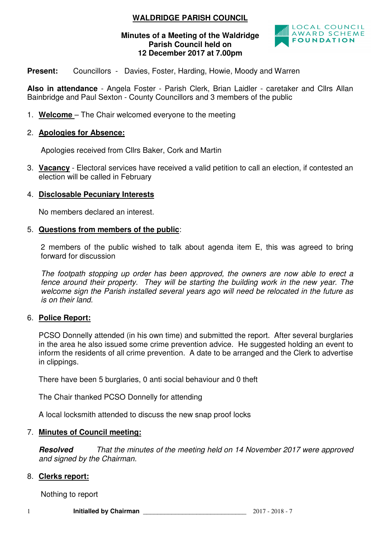# **WALDRIDGE PARISH COUNCIL**

### **Minutes of a Meeting of the Waldridge Parish Council held on 12 December 2017 at 7.00pm**



**Present:** Councillors - Davies, Foster, Harding, Howie, Moody and Warren

**Also in attendance** - Angela Foster - Parish Clerk, Brian Laidler - caretaker and Cllrs Allan Bainbridge and Paul Sexton - County Councillors and 3 members of the public

1. **Welcome** – The Chair welcomed everyone to the meeting

### 2. **Apologies for Absence:**

Apologies received from Cllrs Baker, Cork and Martin

3. **Vacancy** - Electoral services have received a valid petition to call an election, if contested an election will be called in February

### 4. **Disclosable Pecuniary Interests**

No members declared an interest.

### 5. **Questions from members of the public**:

2 members of the public wished to talk about agenda item E, this was agreed to bring forward for discussion

The footpath stopping up order has been approved, the owners are now able to erect a fence around their property. They will be starting the building work in the new year. The welcome sign the Parish installed several vears ago will need be relocated in the future as is on their land.

# 6. **Police Report:**

PCSO Donnelly attended (in his own time) and submitted the report. After several burglaries in the area he also issued some crime prevention advice. He suggested holding an event to inform the residents of all crime prevention. A date to be arranged and the Clerk to advertise in clippings.

There have been 5 burglaries, 0 anti social behaviour and 0 theft

The Chair thanked PCSO Donnelly for attending

A local locksmith attended to discuss the new snap proof locks

### 7. **Minutes of Council meeting:**

**Resolved** That the minutes of the meeting held on 14 November 2017 were approved and signed by the Chairman.

### 8. **Clerks report:**

Nothing to report

1 **Initialled by Chairman** \_\_\_\_\_\_\_\_\_\_\_\_\_\_\_\_\_\_\_\_\_\_\_\_\_\_\_\_\_ 2017 - 2018 - 7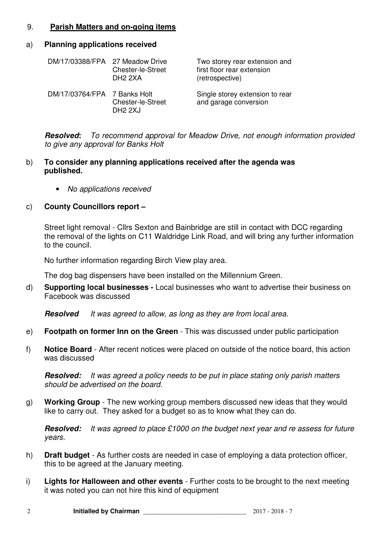# 9. **Parish Matters and on-going items**

#### a) **Planning applications received**

| DM/17/03388/FPA 27 Meadow Drive | <b>Chester-le-Street</b><br>DH <sub>2</sub> 2XA | Two storey rear extension and<br>first floor rear extension<br>(retrospective) |
|---------------------------------|-------------------------------------------------|--------------------------------------------------------------------------------|
| DM/17/03764/FPA 7 Banks Holt    | <b>Chester-le-Street</b><br>DH <sub>2</sub> 2XJ | Single storey extension to rear<br>and garage conversion                       |

**Resolved:** To recommend approval for Meadow Drive, not enough information provided to give any approval for Banks Holt

#### b) **To consider any planning applications received after the agenda was published.**

• No applications received

### c) **County Councillors report –**

Street light removal - Cllrs Sexton and Bainbridge are still in contact with DCC regarding the removal of the lights on C11 Waldridge Link Road, and will bring any further information to the council.

No further information regarding Birch View play area.

The dog bag dispensers have been installed on the Millennium Green.

d) **Supporting local businesses -** Local businesses who want to advertise their business on Facebook was discussed

**Resolved** It was agreed to allow, as long as they are from local area.

- e) **Footpath on former Inn on the Green** This was discussed under public participation
- f) **Notice Board**  After recent notices were placed on outside of the notice board, this action was discussed

**Resolved:** It was agreed a policy needs to be put in place stating only parish matters should be advertised on the board.

g) **Working Group** - The new working group members discussed new ideas that they would like to carry out. They asked for a budget so as to know what they can do.

**Resolved:** It was agreed to place £1000 on the budget next year and re assess for future years.

- h) **Draft budget** As further costs are needed in case of employing a data protection officer, this to be agreed at the January meeting.
- i) **Lights for Halloween and other events**  Further costs to be brought to the next meeting it was noted you can not hire this kind of equipment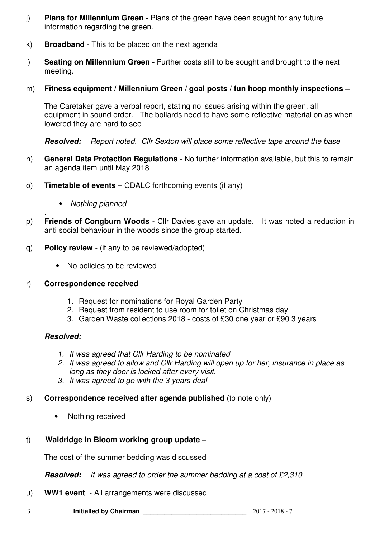- j) **Plans for Millennium Green -** Plans of the green have been sought for any future information regarding the green.
- k) **Broadband**  This to be placed on the next agenda
- l) **Seating on Millennium Green** Further costs still to be sought and brought to the next meeting.
- m) **Fitness equipment / Millennium Green / goal posts / fun hoop monthly inspections**

The Caretaker gave a verbal report, stating no issues arising within the green, all equipment in sound order. The bollards need to have some reflective material on as when lowered they are hard to see

**Resolved:** Report noted. Cllr Sexton will place some reflective tape around the base

- n) **General Data Protection Regulations** No further information available, but this to remain an agenda item until May 2018
- o) **Timetable of events** CDALC forthcoming events (if any)
	- Nothing planned
- . p) **Friends of Congburn Woods** - Cllr Davies gave an update. It was noted a reduction in anti social behaviour in the woods since the group started.
- q) **Policy review**  (if any to be reviewed/adopted)
	- No policies to be reviewed

### r) **Correspondence received**

- 1. Request for nominations for Royal Garden Party
- 2. Request from resident to use room for toilet on Christmas day
- 3. Garden Waste collections 2018 costs of £30 one year or £90 3 years

# **Resolved:**

- 1. It was agreed that Cllr Harding to be nominated
- 2. It was agreed to allow and Cllr Harding will open up for her, insurance in place as long as they door is locked after every visit.
- 3. It was agreed to go with the 3 years deal
- s) **Correspondence received after agenda published** (to note only)
	- Nothing received
- t) **Waldridge in Bloom working group update**

The cost of the summer bedding was discussed

**Resolved:** It was agreed to order the summer bedding at a cost of £2,310

- u) **WW1 event**  All arrangements were discussed
- 3 **Initialled by Chairman** \_\_\_\_\_\_\_\_\_\_\_\_\_\_\_\_\_\_\_\_\_\_\_\_\_\_\_\_\_ 2017 2018 7